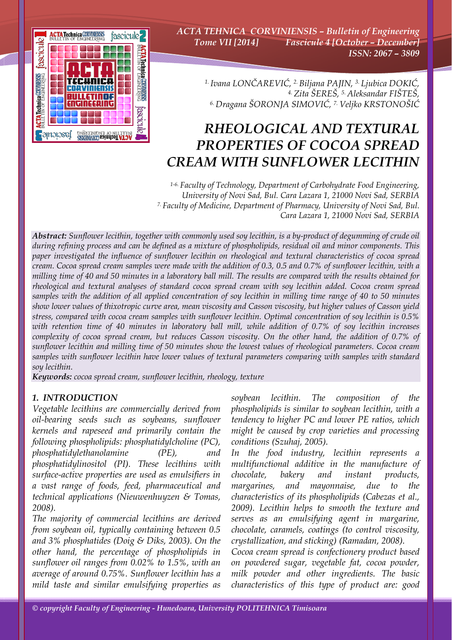

*ACTA TEHNICA CORVINIENSIS – Bulletin of Engineering Tome VII [2014] Fascicule 4 [October – December] ISSN: 2067 – 3809* 

> *1. Ivana LONČAREVIĆ, 2. Biljana PAJIN, 3. Ljubica DOKIĆ, 4. Zita ŠEREŠ, 5. Aleksandar FIŠTEŠ, 6. Dragana ŠORONJA SIMOVIĆ, 7. Veljko KRSTONOŠIĆ*

# *RHEOLOGICAL AND TEXTURAL PROPERTIES OF COCOA SPREAD CREAM WITH SUNFLOWER LECITHIN*

*1-6. Faculty of Technology, Department of Carbohydrate Food Engineering, University of Novi Sad, Bul. Cara Lazara 1, 21000 Novi Sad, SERBIA 7. Faculty of Medicine, Department of Pharmacy, University of Novi Sad, Bul. Cara Lazara 1, 21000 Novi Sad, SERBIA*

*Abstract: Sunflower lecithin, together with commonly used soy lecithin, is a by-product of degumming of crude oil during refining process and can be defined as a mixture of phospholipids, residual oil and minor components. This paper investigated the influence of sunflower lecithin on rheological and textural characteristics of cocoa spread cream. Cocoa spread cream samples were made with the addition of 0.3, 0.5 and 0.7% of sunflower lecithin, with a milling time of 40 and 50 minutes in a laboratory ball mill. The results are compared with the results obtained for rheological and textural analyses of standard cocoa spread cream with soy lecithin added. Cocoa cream spread samples with the addition of all applied concentration of soy lecithin in milling time range of 40 to 50 minutes show lower values of thixotropic curve area, mean viscosity and Casson viscosity, but higher values of Casson yield stress, compared with cocoa cream samples with sunflower lecithin. Optimal concentration of soy lecithin is 0.5% with retention time of 40 minutes in laboratory ball mill, while addition of 0.7% of soy lecithin increases complexity of cocoa spread cream, but reduces Casson viscosity. On the other hand, the addition of 0.7% of sunflower lecithin and milling time of 50 minutes show the lowest values of rheological parameters. Cocoa cream samples with sunflower lecithin have lower values of textural parameters comparing with samples with standard soy lecithin.* 

*Keywords: cocoa spread cream, sunflower lecithin, rheology, texture*

# *1. INTRODUCTION*

*Vegetable lecithins are commercially derived from oil-bearing seeds such as soybeans, sunflower kernels and rapeseed and primarily contain the following phospholipids: phosphatidylcholine (PC), phosphatidylethanolamine (PE), and phosphatidylinositol (PI). These lecithins with surface-active properties are used as emulsifiers in a vast range of foods, feed, pharmaceutical and technical applications (Nieuwenhuyzen & Tomas, 2008).* 

*The majority of commercial lecithins are derived from soybean oil, typically containing between 0.5 and 3% phosphatides (Doig & Diks, 2003). On the other hand, the percentage of phospholipids in sunflower oil ranges from 0.02% to 1.5%, with an average of around 0.75%. Sunflower lecithin has a mild taste and similar emulsifying properties as* 

*soybean lecithin. The composition of the phospholipids is similar to soybean lecithin, with a tendency to higher PC and lower PE ratios, which might be caused by crop varieties and processing conditions (Szuhaj, 2005).* 

*In the food industry, lecithin represents a multifunctional additive in the manufacture of chocolate, bakery and instant products, margarines, and mayonnaise, due to the characteristics of its phospholipids (Cabezas et al., 2009). Lecithin helps to smooth the texture and serves as an emulsifying agent in margarine, chocolate, caramels, coatings (to control viscosity, crystallization, and sticking) (Ramadan, 2008).* 

*Cocoa cream spread is confectionery product based on powdered sugar, vegetable fat, cocoa powder, milk powder and other ingredients. The basic characteristics of this type of product are: good*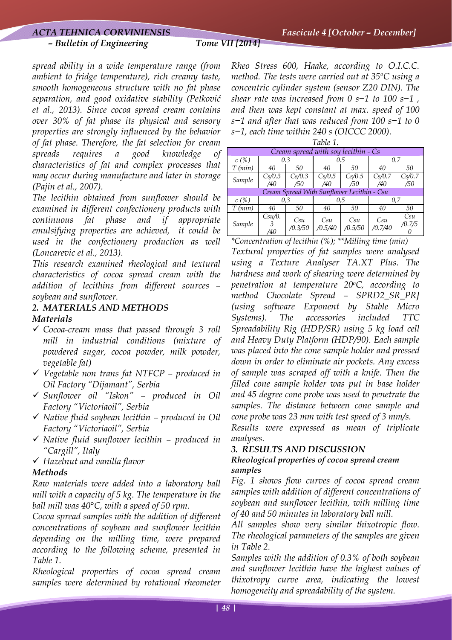## *ACTA TEHNICA CORVINIENSIS Fascicule 4 [October – December]*

#### *– Bulletin of Engineering Tome VII [2014]*

*spread ability in a wide temperature range (from ambient to fridge temperature), rich creamy taste, smooth homogeneous structure with no fat phase separation, and good oxidative stability (Petković et al., 2013). Since cocoa spread cream contains over 30% of fat phase its physical and sensory properties are strongly influenced by the behavior of fat phase. Therefore, the fat selection for cream spreads requires a good knowledge of characteristics of fat and complex processes that may occur during manufacture and later in storage (Pajin et al., 2007).* 

*The lecithin obtained from sunflower should be examined in different confectionery products with continuous fat phase and if appropriate emulsifying properties are achieved, it could be used in the confectionery production as well (Loncarevic et al., 2013).* 

*This research examined rheological and textural characteristics of cocoa spread cream with the addition of lecithins from different sources – soybean and sunflower.* 

### *2. MATERIALS AND METHODS*

#### *Materials*

- 9 *Cocoa-cream mass that passed through 3 roll mill in industrial conditions (mixture of powdered sugar, cocoa powder, milk powder, vegetable fat)*
- 9 *Vegetable non trans fat NTFCP produced in Oil Factory "Dijamant", Serbia*
- 9 *Sunflower oil "Iskon" produced in Oil Factory "Victoriaoil", Serbia*
- 9 *Native fluid soybean lecithin produced in Oil Factory "Victoriaoil", Serbia*
- 9 *Native fluid sunflower lecithin produced in "Cargill", Italy*
- 9 *Hazelnut and vanilla flavor*

#### *Methods*

*Raw materials were added into a laboratory ball mill with a capacity of 5 kg. The temperature in the ball mill was 40°C, with a speed of 50 rpm.* 

*Cocoa spread samples with the addition of different concentrations of soybean and sunflower lecithin depending on the milling time, were prepared according to the following scheme, presented in Table 1.* 

*Rheological properties of cocoa spread cream samples were determined by rotational rheometer* 

*Rheo Stress 600, Haake, according to O.I.C.C. method. The tests were carried out at 35ºC using a concentric cylinder system (sensor Z20 DIN). The shear rate was increased from 0 s−1 to 100 s−1 , and then was kept constant at max. speed of 100 s−1 and after that was reduced from 100 s−1 to 0 s−1, each time within 240 s (OICCC 2000).* 

| Table 1 |
|---------|
|---------|

| Cream spread with soy lecithin - Cs        |               |                |                |                |                |               |  |  |
|--------------------------------------------|---------------|----------------|----------------|----------------|----------------|---------------|--|--|
| c(%)                                       | 0.3           |                | 0.5            |                | 0.7            |               |  |  |
| $T$ (min)                                  | 40            | 50             | 40             | 50             | 40             | 50            |  |  |
| Sample                                     | Cs/0.3<br>/40 | Cs/0.3<br>/50  | Cs/0.5<br>/40  | Cs/0.5<br>/50  | Cs/0.7<br>/40  | Cs/0.7<br>/50 |  |  |
| Cream Spread With Sunflower Lecithin - Csu |               |                |                |                |                |               |  |  |
| c(%)                                       | 0,3           |                | 0,5            |                | 0,7            |               |  |  |
| $T$ (min)                                  | 40            | 50             | 40             | 50             | 40             | 50            |  |  |
| Sample                                     | Csu/0.<br>/40 | Csu<br>/0.3/50 | Csu<br>/0.5/40 | Csu<br>/0.5/50 | Csu<br>/0.7/40 | Csu<br>/0.7/5 |  |  |

*\*Concentration of lecithin (%); \*\*Milling time (min) Textural properties of fat samples were analysed using a Texture Analyser TA.XT Plus. The hardness and work of shearing were determined by penetration at temperature 20oC, according to method Chocolate Spread – SPRD2\_SR\_PRJ (using software Exponent by Stable Micro Systems). The accessories included TTC Spreadability Rig (HDP/SR) using 5 kg load cell and Heavy Duty Platform (HDP/90). Each sample was placed into the cone sample holder and pressed down in order to eliminate air pockets. Any excess of sample was scraped off with a knife. Then the filled cone sample holder was put in base holder and 45 degree cone probe was used to penetrate the samples. The distance between cone sample and cone probe was 23 mm with test speed of 3 mm/s.* 

*Results were expressed as mean of triplicate analyses.* 

#### *3. RESULTS AND DISCUSSION*

## *Rheological properties of cocoa spread cream samples*

*Fig. 1 shows flow curves of cocoa spread cream samples with addition of different concentrations of soybean and sunflower lecithin, with milling time of 40 and 50 minutes in laboratory ball mill.* 

*All samples show very similar thixotropic flow. The rheological parameters of the samples are given in Table 2.* 

*Samples with the addition of 0.3% of both soybean and sunflower lecithin have the highest values of thixotropy curve area, indicating the lowest homogeneity and spreadability of the system.*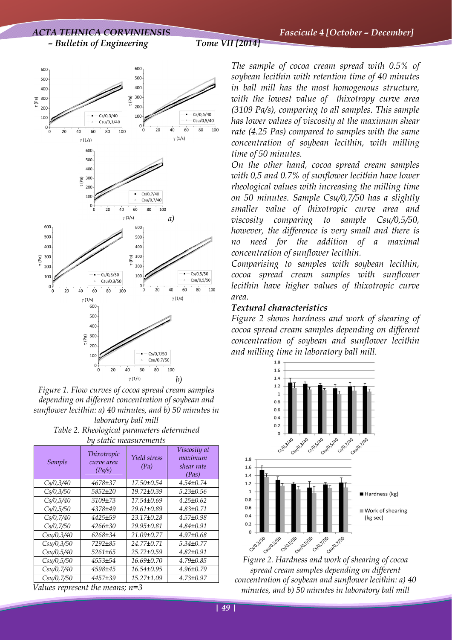# *ACTA TEHNICA CORVINIENSIS Fascicule 4 [October – December] – Bulletin of Engineering Tome VII [2014]*



*Figure 1. Flow curves of cocoa spread cream samples depending on different concentration of soybean and sunflower lecithin: a) 40 minutes, and b) 50 minutes in laboratory ball mill* 

|  |                        | Table 2. Rheological parameters determined |
|--|------------------------|--------------------------------------------|
|  | by static measurements |                                            |

| Sample                    | Thixotropic<br>curve area<br>(Pa/s) | Yield stress<br>(Pa) | Viscosity at<br>maximum<br>shear rate<br>(Pas) |
|---------------------------|-------------------------------------|----------------------|------------------------------------------------|
| Cs/0,3/40                 | 4678±37                             | 17.50±0.54           | $4.54 \pm 0.74$                                |
| Cs/0.3/50                 | $5852+20$                           | $19.72 \pm 0.39$     | $5.23 \pm 0.56$                                |
| Cs/0,5/40                 | $3109 + 73$                         | $17.54 + 0.69$       | $4.25 \pm 0.62$                                |
| Cs/0,5/50                 | 4378±49                             | 29.61±0.89           | $4.83 \pm 0.71$                                |
| Cs/0.7/40                 | 4425±59                             | 23.17±0.28           | $4.57 \pm 0.98$                                |
| Cs/0,7/50                 | 4266±30                             | 29.95±0.81           | $4.84 \pm 0.91$                                |
| Csu/0,3/40                | 6268±34                             | 21.09±0.77           | $4.97 \pm 0.68$                                |
| Csu/0.3/50                | $7292 + 85$                         | $24.77 + 0.71$       | $5.34 \pm 0.77$                                |
| Csu/0,5/40                | 5261±65                             | $25.72 \pm 0.59$     | $4.82 \pm 0.91$                                |
| Csu/0, 5/50               | 4553±54                             | $16.69 \pm 0.70$     | $4.79 \pm 0.85$                                |
| Csu/0,7/40                | 4598±45                             | 16.54±0.95           | $4.96 \pm 0.79$                                |
| Csu/0.7/50<br><b>TT 1</b> | 4457+39                             | 15.27±1.09           | $4.73 \pm 0.97$                                |

*Values represent the means; n=3* 

*The sample of cocoa cream spread with 0.5% of soybean lecithin with retention time of 40 minutes in ball mill has the most homogenous structure, with the lowest value of thixotropy curve area (3109 Pa/s), comparing to all samples. This sample has lower values of viscosity at the maximum shear rate (4.25 Pas) compared to samples with the same concentration of soybean lecithin, with milling time of 50 minutes.* 

*On the other hand, cocoa spread cream samples with 0,5 and 0.7% of sunflower lecithin have lower rheological values with increasing the milling time on 50 minutes. Sample Csu/0,7/50 has a slightly smaller value of thixotropic curve area and viscosity comparing to sample Csu/0,5/50, however, the difference is very small and there is no need for the addition of a maximal concentration of sunflower lecithin.* 

*Comparising to samples with soybean lecithin, cocoa spread cream samples with sunflower lecithin have higher values of thixotropic curve area.* 

# *Textural characteristics*

*Figure 2 shows hardness and work of shearing of cocoa spread cream samples depending on different concentration of soybean and sunflower lecithin and milling time in laboratory ball mill.* 



*spread cream samples depending on different concentration of soybean and sunflower lecithin: a) 40 minutes, and b) 50 minutes in laboratory ball mill*